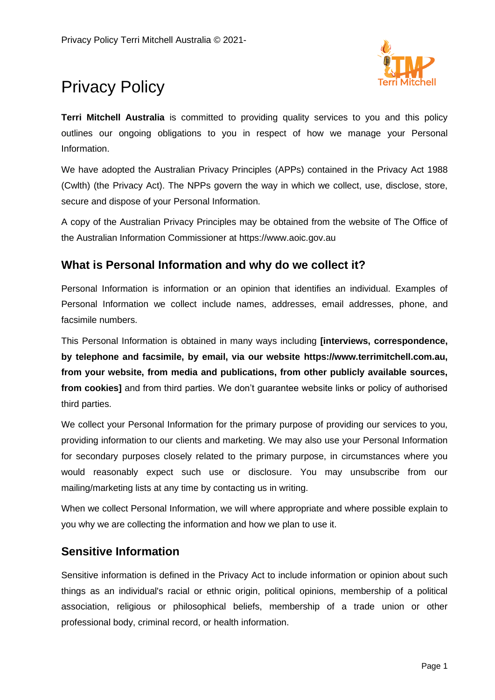

# Privacy Policy

**Terri Mitchell Australia** is committed to providing quality services to you and this policy outlines our ongoing obligations to you in respect of how we manage your Personal Information.

We have adopted the Australian Privacy Principles (APPs) contained in the Privacy Act 1988 (Cwlth) (the Privacy Act). The NPPs govern the way in which we collect, use, disclose, store, secure and dispose of your Personal Information.

A copy of the Australian Privacy Principles may be obtained from the website of The Office of the Australian Information Commissioner at https://www.aoic.gov.au

## **What is Personal Information and why do we collect it?**

Personal Information is information or an opinion that identifies an individual. Examples of Personal Information we collect include names, addresses, email addresses, phone, and facsimile numbers.

This Personal Information is obtained in many ways including **[interviews, correspondence, by telephone and facsimile, by email, via our website https://www.terrimitchell.com.au, from your website, from media and publications, from other publicly available sources, from cookies]** and from third parties. We don't guarantee website links or policy of authorised third parties.

We collect your Personal Information for the primary purpose of providing our services to you, providing information to our clients and marketing. We may also use your Personal Information for secondary purposes closely related to the primary purpose, in circumstances where you would reasonably expect such use or disclosure. You may unsubscribe from our mailing/marketing lists at any time by contacting us in writing.

When we collect Personal Information, we will where appropriate and where possible explain to you why we are collecting the information and how we plan to use it.

## **Sensitive Information**

Sensitive information is defined in the Privacy Act to include information or opinion about such things as an individual's racial or ethnic origin, political opinions, membership of a political association, religious or philosophical beliefs, membership of a trade union or other professional body, criminal record, or health information.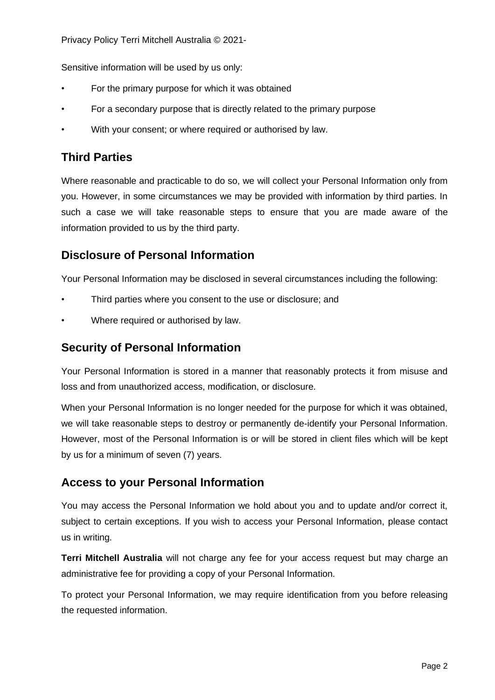Privacy Policy Terri Mitchell Australia © 2021-

Sensitive information will be used by us only:

- For the primary purpose for which it was obtained
- For a secondary purpose that is directly related to the primary purpose
- With your consent; or where required or authorised by law.

# **Third Parties**

Where reasonable and practicable to do so, we will collect your Personal Information only from you. However, in some circumstances we may be provided with information by third parties. In such a case we will take reasonable steps to ensure that you are made aware of the information provided to us by the third party.

## **Disclosure of Personal Information**

Your Personal Information may be disclosed in several circumstances including the following:

- Third parties where you consent to the use or disclosure; and
- Where required or authorised by law.

#### **Security of Personal Information**

Your Personal Information is stored in a manner that reasonably protects it from misuse and loss and from unauthorized access, modification, or disclosure.

When your Personal Information is no longer needed for the purpose for which it was obtained, we will take reasonable steps to destroy or permanently de-identify your Personal Information. However, most of the Personal Information is or will be stored in client files which will be kept by us for a minimum of seven (7) years.

## **Access to your Personal Information**

You may access the Personal Information we hold about you and to update and/or correct it, subject to certain exceptions. If you wish to access your Personal Information, please contact us in writing.

**Terri Mitchell Australia** will not charge any fee for your access request but may charge an administrative fee for providing a copy of your Personal Information.

To protect your Personal Information, we may require identification from you before releasing the requested information.